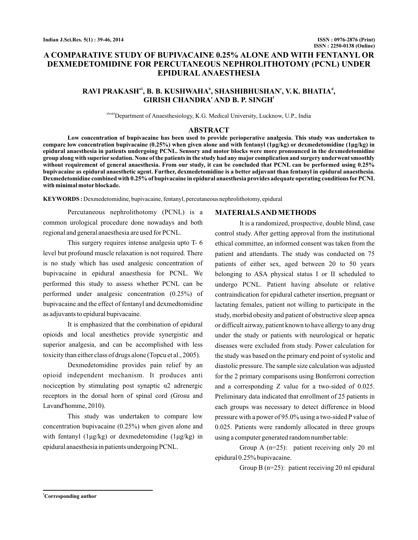# **A COMPARATIVE STUDY OF BUPIVACAINE 0.25% ALONE AND WITH FENTANYL OR DEXMEDETOMIDINE FOR PERCUTANEOUS NEPHROLITHOTOMY (PCNL) UNDER EPIDURAL ANAESTHESIA**

# $\mathbf{R}$ AVI PRAKASH $^{\mathrm{a}1}$ , **B. B.** KUSHWAHA $^{\mathrm{b}}$ , SHASHIBHUSHAN $^{\mathrm{c}}$ , V.K. BHATIA $^{\mathrm{d}}$ ,  $\mathbf{GIRISH}\ \mathbf{CHANDRA}^{\mathrm{e}}\ \mathbf{AND}\ \mathbf{B}\ \mathbf{P}\ \mathbf{SINGH}^{\mathrm{e}}$

abcdef Department of Anaesthesiology, K.G. Medical University, Lucknow, U.P., India

### **ABSTRACT**

**Low concentration of bupivacaine has been used to provide perioperative analgesia. This study was undertaken to compare low concentration bupivacaine (0.25%) when given alone and with fentanyl (1μg/kg) or dexmedetomidine (1μg/kg) in** epidural anaesthesia in patients undergoing PCNL. Sensory and motor blocks were more pronounced in the dexmedetomidine **group along with superior sedation. None of the patients in the study had any major complication and surgery underwent smoothly without requirement of general anaesthesia. From our study, it can be concluded that PCNL can be performed using 0.25% bupivacaine as epidural anaesthetic agent. Further, dexmedetomidine is a better adjuvant than fentanyl in epidural anaesthesia. Dexmedetomidine combined with 0.25% of bupivacaine in epidural anaesthesia provides adequate operating conditions for PCNL with minimal motor blockade.**

**KEYWORDS :** Dexmedetomidine, bupivacaine, fentanyl, percutaneous nephrolithotomy, epidural

Percutaneous nephrolithotomy (PCNL) is a common urological procedure done nowadays and both regional and general anaesthesia are used for PCNL.

This surgery requires intense analgesia upto T- 6 level but profound muscle relaxation is not required. There is no study which has used analgesic concentration of bupivacaine in epidural anaesthesia for PCNL. We performed this study to assess whether PCNL can be performed under analgesic concentration (0.25%) of bupivacaine and the effect of fentanyl and dexmedtomidine as adjuvants to epidural bupivacaine.

It is emphasized that the combination of epidural opioids and local anesthetics provide synergistic and superior analgesia, and can be accomplished with less toxicity than either class of drugs alone (Topcu et al., 2005).

Dexmedetomidine provides pain relief by an opioid independent mechanism. It produces anti nociception by stim ulating post synaptic α2 adrenergic receptors in the dorsal horn of spinal cord (Grosu and Lavand'homme, 2010).

This study was undertaken t o compare low epidural anaesthesia in patients undergoing PCNL. concentration bupivacaine (0.25%) when given alone and with fentanyl (1μg/kg) or dexmedetomidine (1μg/kg) in

#### **MATERIALSAND METHODS**

It is a randomized, prospective, double blind, case control study. After getting approval from the institutional ethical committee, an informed consent was taken from the patient and attendants. The study was conducted on 75 patients of either sex, aged between 20 to 50 years belonging to ASA physical status I or II scheduled to undergo PCNL. Patient having absolute or relative contraindication for epidural catheter insertion, pregnant or lactating females, patient not willing to participate in the study, morbid obesity and patient of obstructive sleep apnea or difficult airway, patient known to have allergy to any drug under the study or patients with neurological or hepatic diseases were excluded from study. Power calculation for the study was based on the primary end point of systolic and diastolic pressure. The sample size calculation was adjusted for the 2 primary comparisons using Bonferroni correction and a corresponding Z value for a two-sided of 0.025. Preliminary data indicated that enrollment of 25 patients in each groups was necessary to detect difference in blood pressure with a power of 95.0% using a two-sided P value of 0.025. Patients were randomly allocated in three groups using a computer generated random number table:

Group A (n=25): patient receiving only 20 ml epidural 0.25% bupivacaine.

Group B (n=25): patient receiving 20 ml epidural

**<sup>1</sup>Corresponding author**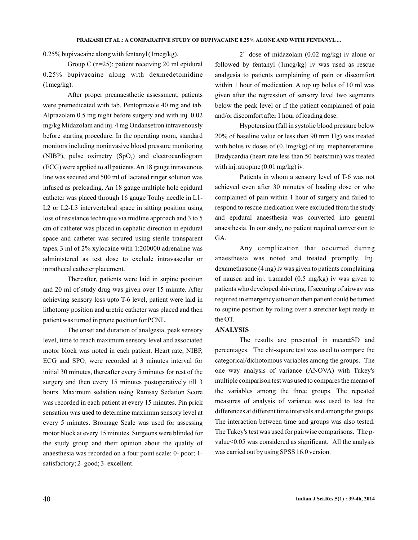0.25% bupivacaine along with fentanyl (1mcg/kg).

Group C (n=25): patient receiving 20 ml epidural 0.25% bupivacaine along with dexmedetomidine  $(1mcg/kg)$ .

After proper preanaesthetic assessment, patients were premedicated with tab. Pentoprazole 40 mg and tab. Alprazolam 0.5 mg night before surgery and with inj. 0.02 mg/kg Midazolam and inj. 4 mg Ondansetron intravenously before starting procedure. In the operating room, standard monitors including noninvasive blood pressure monitoring (NIBP), pulse oximetry  $(SpO<sub>2</sub>)$  and electrocardiogram (ECG) were applied to all patients.An 18 gauge intravenous line was secured and 500 ml of lactated ringer solution was infused as preloading. An 18 gauge multiple hole epidural catheter was placed through 16 gauge Touhy needle in L1- L2 or L2-L3 intervertebral space in sitting position using loss of resistance technique via midline approach and 3 to 5 cm of catheter was placed in cephalic direction in epidural space and catheter was secured using sterile transparent tapes. 3 ml of 2% xylocaine with 1:200000 adrenaline was administered as test dose to exclude intravascular or intrathecal catheter placement.

Thereafter, patients were laid in supine position and 20 ml of study drug was given over 15 minute. After achieving sensory loss upto T-6 level, patient were laid in lithotomy position and uretric catheter was placed and then patient was turned in prone position for PCNL.

The onset and duration of analgesia, peak sensory level, time to reach maximum sensory level and associated motor block was noted in each patient. Heart rate, NIBP, ECG and  $SPO<sub>2</sub>$  were recorded at 3 minutes interval for initial 30 minutes, thereafter every 5 minutes for rest of the surgery and then every 15 minutes postoperatively till 3 hours. Maximum sedation using Ramsay Sedation Score was recorded in each patient at every 15 minutes. Pin prick sensation was used to determine maximum sensory level at every 5 minutes. Bromage Scale was used for assessing motor block at every 15 minutes. Surgeons were blinded for the study group and their opinion about the quality of anaesthesia was recorded on a four point scale: 0- poor; 1 satisfactory; 2- good; 3- excellent.

 $2<sup>nd</sup>$  dose of midazolam (0.02 mg/kg) iv alone or followed by fentanyl (1mcg/kg) iv was used as rescue analgesia to patients complaining of pain or discomfort within 1 hour of medication. A top up bolus of 10 ml was given after the regression of sensory level two segments below the peak level or if the patient complained of pain and/or discomfort after 1 hour of loading dose.

Hypotension (fall in systolic blood pressure below 20% of baseline value or less than 90 mm Hg) was treated with bolus iv doses of (0.1mg/kg) of inj. mephenteramine. Bradycardia (heart rate less than 50 beats/min) was treated with inj. atropine (0.01 mg/kg) iv.

Patients in whom a sensory level of T-6 was not achieved even after 30 minutes of loading dose or who complained of pain within 1 hour of surgery and failed to respond to rescue medication were excluded from the study and epidural anaesthesia was converted into general anaesthesia. In our study, no patient required conversion to GA.

Any complication that occurred during anaesthesia was noted and treated promptly. Inj. dexamethasone (4 mg) iv was given to patients complaining of nausea and inj. tramadol (0.5 mg/kg) iv was given to patients who developed shivering. If securing of airway was required in emergency situation then patient could be turned to supine position by rolling over a stretcher kept ready in the OT.

### **ANALYSIS**

The results are presented in mean±SD and percentages. The chi-sqaure test was used to compare the categorical/dichotomous variables among the groups. The one way analysis of variance (ANOVA) with Tukey's multiple comparison test was used to compares the means of the variables among the three groups. The repeated measures of analysis of variance was used to test the differences at different time intervals and among the groups. The interaction between time and groups was also tested. The Tukey's test was used for pairwise comparisons. The pvalue<0.05 was considered as significant. All the analysis was carried out by using SPSS 16.0 version.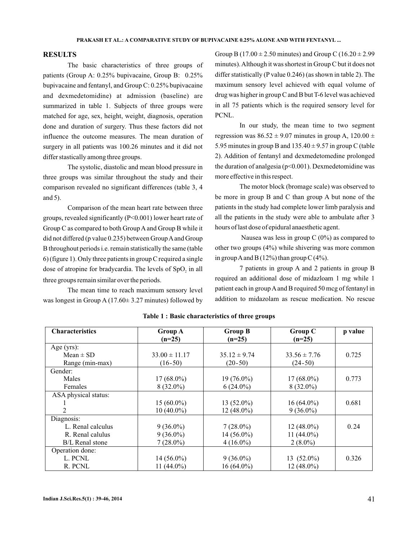### **RESULTS**

The basic characteristics of three groups of patients (Group A: 0.25% bupivacaine, Group B: 0.25% bupivacaine and fentanyl, and Group C: 0.25% bupivacaine and dexmedetomidine) at admission (baseline) are summarized in table 1. Subjects of three groups were matched for age, sex, height, weight, diagnosis, operation done and duration of surgery. Thus these factors did not influence the outcome measures. The mean duration of surgery in all patients was 100.26 minutes and it did not differ stastically among three groups.

The systolic, diastolic and mean blood pressure in three groups was similar throughout the study and their comparison revealed no significant differences (table 3, 4 and 5).

Comparison of the mean heart rate between three groups, revealed significantly (P<0.001) lower heart rate of Group C as compared to both Group A and Group B while it did not differed (p value 0.235) between Group A and Group B throughout periods i.e. remain statistically the same (table 6) (figure 1). Only three patients in group C required a single dose of atropine for bradycardia. The levels of  $SpO<sub>2</sub>$  in all three groups remain similar over the periods.

The mean time to reach maximum sensory level was longest in Group A (17.60 $\pm$  3.27 minutes) followed by Group B (17.00  $\pm$  2.50 minutes) and Group C (16.20  $\pm$  2.99 minutes).Although it was shortest in Group C but it does not differ statistically (P value 0.246) (as shown in table 2). The maximum sensory level achieved with equal volume of drug was higher in group C and B but T-6 level was achieved in all 75 patients which is the required sensory level for PCNL.

In our study, the mean time to two segment regression was  $86.52 \pm 9.07$  minutes in group A,  $120.00 \pm$ 5.95 minutes in group B and  $135.40 \pm 9.57$  in group C (table 2). Addition of fentanyl and dexmedetomedine prolonged the duration of analgesia (p<0.001). Dexmedetomidine was more effective in this respect.

The motor block (bromage scale) was observed to be more in group B and C than group A but none of the patients in the study had complete lower limb paralysis and all the patients in the study were able to ambulate after 3 hours of last dose of epidural anaesthetic agent.

Nausea was less in group  $C(0\%)$  as compared to other two groups (4%) while shivering was more common in group A and B (12%) than group C (4%).

7 patients in group A and 2 patients in group B required an additional dose of midazloam 1 mg while 1 patient each in group A and B required 50 mcg of fentanyl in addition to midazolam as rescue medication. No rescue

| <b>Characteristics</b> | <b>Group A</b>    | <b>Group B</b>   | Group C          | p value |
|------------------------|-------------------|------------------|------------------|---------|
|                        | $(n=25)$          | $(n=25)$         | $(n=25)$         |         |
| Age $(yrs)$ :          |                   |                  |                  |         |
| $Mean \pm SD$          | $33.00 \pm 11.17$ | $35.12 \pm 9.74$ | $33.56 \pm 7.76$ | 0.725   |
| Range (min-max)        | $(16-50)$         | $(20-50)$        | $(24-50)$        |         |
| Gender:                |                   |                  |                  |         |
| Males                  | $17(68.0\%)$      | $19(76.0\%)$     | $17(68.0\%)$     | 0.773   |
| Females                | $8(32.0\%)$       | $6(24.0\%)$      | $8(32.0\%)$      |         |
| ASA physical status:   |                   |                  |                  |         |
|                        | $15(60.0\%)$      | $13(52.0\%)$     | $16(64.0\%)$     | 0.681   |
|                        | $10(40.0\%)$      | $12(48.0\%)$     | $9(36.0\%)$      |         |
| Diagnosis:             |                   |                  |                  |         |
| L. Renal calculus      | $9(36.0\%)$       | $7(28.0\%)$      | $12(48.0\%)$     | 0.24    |
| R. Renal calulus       | $9(36.0\%)$       | 14 (56.0%)       | 11 $(44.0\%)$    |         |
| B/L Renal stone        | $7(28.0\%)$       | $4(16.0\%)$      | $2(8.0\%)$       |         |
| Operation done:        |                   |                  |                  |         |
| L. PCNL                | $14(56.0\%)$      | $9(36.0\%)$      | 13 $(52.0\%)$    | 0.326   |
| R. PCNL                | 11 $(44.0\%)$     | $16(64.0\%)$     | $12(48.0\%)$     |         |

### **Table 1 : Basic characteristics of three groups**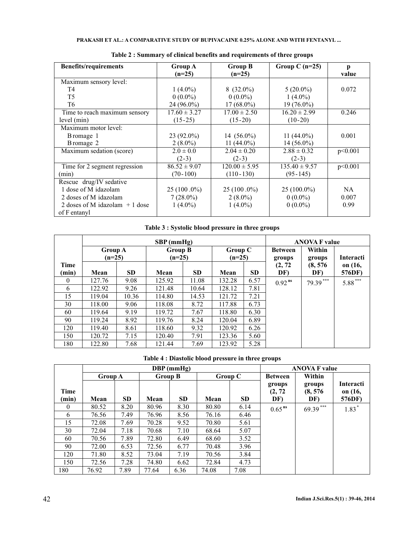| <b>Benefits/requirements</b>    | Group A          | <b>Group B</b>    | Group C $(n=25)$  | р       |
|---------------------------------|------------------|-------------------|-------------------|---------|
|                                 | $(n=25)$         | $(n=25)$          |                   | value   |
| Maximum sensory level:          |                  |                   |                   |         |
| T4                              | $1(4.0\%)$       | $8(32.0\%)$       | $5(20.0\%)$       | 0.072   |
| T <sub>5</sub>                  | $0(0.0\%)$       | $0(0.0\%)$        | $1(4.0\%)$        |         |
| T <sub>6</sub>                  | 24 (96.0%)       | $17(68.0\%)$      | $19(76.0\%)$      |         |
| Time to reach maximum sensory   | $17.60 \pm 3.27$ | $17.00 \pm 2.50$  | $16.20 \pm 2.99$  | 0.246   |
| level (min)                     | $(15-25)$        | $(15-20)$         | $(10-20)$         |         |
| Maximum motor level:            |                  |                   |                   |         |
| Bromage 1                       | $23(92.0\%)$     | 14 $(56.0\%)$     | 11 $(44.0\%)$     | 0.001   |
| Bromage 2                       | $2(8.0\%)$       | 11 $(44.0\%)$     | $14(56.0\%)$      |         |
| Maximum sedation (score)        | $2.0 \pm 0.0$    | $2.04 \pm 0.20$   | $2.88 \pm 0.32$   | p<0.001 |
|                                 | $(2-3)$          | $(2-3)$           | $(2-3)$           |         |
| Time for 2 segment regression   | $86.52 \pm 9.07$ | $120.00 \pm 5.95$ | $135.40 \pm 9.57$ | p<0.001 |
| (min)                           | $(70-100)$       | $(110-130)$       | $(95-145)$        |         |
| Rescue drug/IV sedative         |                  |                   |                   |         |
| 1 dose of M idazolam            | $25(100.0\%)$    | $25(100.0\%)$     | $25(100.0\%)$     | NA.     |
| 2 doses of M idazolam           | $7(28.0\%)$      | $2(8.0\%)$        | $0(0.0\%)$        | 0.007   |
| 2 doses of M idazolam $+1$ dose | $1(4.0\%)$       | $1(4.0\%)$        | $0(0.0\%)$        | 0.99    |
| of F entanyl                    |                  |                   |                   |         |

| Table 2 : Summary of clinical benefits and requirements of three groups |  |  |  |
|-------------------------------------------------------------------------|--|--|--|
|-------------------------------------------------------------------------|--|--|--|

# **Table 3 : Systolic blood pressure in three groups**

|          |                |           | $SBP$ (mmHg)   |           | <b>ANOVA F value</b> |           |                |            |                  |
|----------|----------------|-----------|----------------|-----------|----------------------|-----------|----------------|------------|------------------|
|          | <b>Group A</b> |           | <b>Group B</b> |           | Group C              |           | <b>Between</b> | Within     |                  |
|          | $(n=25)$       |           | $(n=25)$       |           | $(n=25)$             |           | groups         | groups     | <b>Interacti</b> |
| Time     |                |           |                |           |                      |           | (2, 72)        | (8, 576)   | on (16,          |
| (min)    | Mean           | <b>SD</b> | Mean           | <b>SD</b> | Mean                 | <b>SD</b> | DF)            | DF)        | 576DF)           |
| $\Omega$ | 127.76         | 9.08      | 125.92         | 11.08     | 132.28               | 6.57      | $0.92^{ns}$    | $79.39***$ | $5.88***$        |
| 6        | 122.92         | 9.26      | 121.48         | 10.64     | 128.12               | 7.81      |                |            |                  |
| 15       | 119.04         | 10.36     | 114.80         | 14.53     | 121.72               | 7.21      |                |            |                  |
| 30       | 118.00         | 9.06      | 118.08         | 8.72      | 117.88               | 6.73      |                |            |                  |
| 60       | 119.64         | 9.19      | 119.72         | 7.67      | 118.80               | 6.30      |                |            |                  |
| 90       | 119.24         | 8.92      | 119.76         | 8.24      | 120.04               | 6.89      |                |            |                  |
| 120      | 119.40         | 8.61      | 118.60         | 9.32      | 120.92               | 6.26      |                |            |                  |
| 150      | 120.72         | 7.15      | 120.40         | 7.91      | 123.36               | 5.60      |                |            |                  |
| 180      | 122.80         | 7.68      | 121.44         | 7.69      | 123.92               | 5.28      |                |            |                  |

| Table 4 : Diastolic blood pressure in three groups |  |  |  |  |
|----------------------------------------------------|--|--|--|--|
|----------------------------------------------------|--|--|--|--|

|          |         |           | $DBP$ (mmHg)   |           | <b>ANOVA F value</b> |           |                |            |                  |
|----------|---------|-----------|----------------|-----------|----------------------|-----------|----------------|------------|------------------|
|          | Group A |           | <b>Group B</b> |           | Group C              |           | <b>Between</b> | Within     |                  |
|          |         |           |                |           |                      |           | groups         | groups     | <b>Interacti</b> |
| Time     |         |           |                |           |                      |           | (2, 72)        | (8, 576)   | on (16,          |
| (min)    | Mean    | <b>SD</b> | Mean           | <b>SD</b> | Mean                 | <b>SD</b> | DF)            | DF)        | 576DF)           |
| $\theta$ | 80.52   | 8.20      | 80.96          | 8.30      | 80.80                | 6.14      | $0.65^{ns}$    | $69.39***$ | $1.83*$          |
| 6        | 76.56   | 7.49      | 76.96          | 8.56      | 76.16                | 6.46      |                |            |                  |
| 15       | 72.08   | 7.69      | 70.28          | 9.52      | 70.80                | 5.61      |                |            |                  |
| 30       | 72.04   | 7.18      | 70.68          | 7.10      | 68.64                | 5.07      |                |            |                  |
| 60       | 70.56   | 7.89      | 72.80          | 6.49      | 68.60                | 3.52      |                |            |                  |
| 90       | 72.00   | 6.53      | 72.56          | 6.77      | 70.48                | 3.96      |                |            |                  |
| 120      | 71.80   | 8.52      | 73.04          | 7.19      | 70.56                | 3.84      |                |            |                  |
| 150      | 72.56   | 7.28      | 74.80          | 6.62      | 72.84                | 4.73      |                |            |                  |
| 180      | 76.92   | 7.89      | 77.64          | 6.36      | 74.08                | 7.08      |                |            |                  |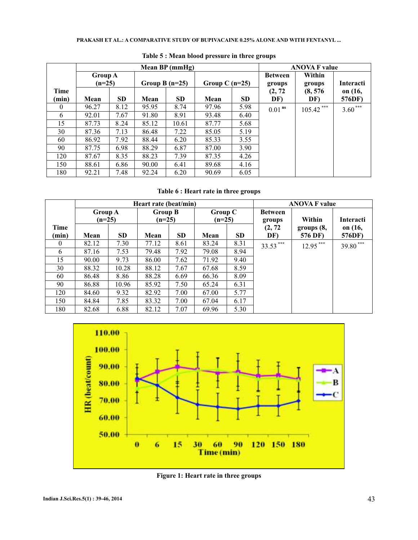### **PRAKASH ET AL.: A COMPARATIVE STUDY OF BUPIVACAINE 0.25% ALONE AND WITH FENTANYL ...**

|               |       |                            | Mean $BP$ (mmHg) |                  | <b>ANOVA F value</b> |                  |                      |                  |                   |
|---------------|-------|----------------------------|------------------|------------------|----------------------|------------------|----------------------|------------------|-------------------|
|               |       | <b>Group A</b><br>$(n=25)$ |                  | Group B $(n=25)$ |                      | Group C $(n=25)$ |                      | Within<br>groups | <b>Interacti</b>  |
| Time<br>(min) | Mean  | <b>SD</b>                  | Mean             | <b>SD</b>        | Mean                 | <b>SD</b>        | (2, 72)<br>DF)       | (8, 576)<br>DF)  | on (16,<br>576DF) |
| $\theta$      | 96.27 | 8.12                       | 95.95            | 8.74             | 97.96                | 5.98             | $0.01$ <sup>ns</sup> | $105.42$ ***     | $3.60***$         |
| 6             | 92.01 | 7.67                       | 91.80            | 8.91             | 93.48                | 6.40             |                      |                  |                   |
| 15            | 87.73 | 8.24                       | 85.12            | 10.61            | 87.77                | 5.68             |                      |                  |                   |
| 30            | 87.36 | 7.13                       | 86.48            | 7.22             | 85.05                | 5.19             |                      |                  |                   |
| 60            | 86.92 | 7.92                       | 88.44            | 6.20             | 85.33                | 3.55             |                      |                  |                   |
| 90            | 87.75 | 6.98                       | 88.29            | 6.87             | 87.00                | 3.90             |                      |                  |                   |
| 120           | 87.67 | 8.35                       | 88.23            | 7.39             | 87.35                | 4.26             |                      |                  |                   |
| 150           | 88.61 | 6.86                       | 90.00            | 6.41             | 89.68                | 4.16             |                      |                  |                   |
| 180           | 92.21 | 7.48                       | 92.24            | 6.20             | 90.69                | 6.05             |                      |                  |                   |

## **Table 5 : Mean blood pressure in three groups**

# **Table 6 : Heart rate in three groups**

|          | Heart rate (beat/min) |       |                |           |          |                |          | <b>ANOVA F value</b> |                  |
|----------|-----------------------|-------|----------------|-----------|----------|----------------|----------|----------------------|------------------|
|          | <b>Group A</b>        |       | <b>Group B</b> |           |          | <b>Group C</b> |          |                      |                  |
|          | $(n=25)$              |       | $(n=25)$       |           | $(n=25)$ |                | groups   | Within               | <b>Interacti</b> |
| Time     |                       |       |                |           |          |                | (2, 72)  | groups (8,           | on (16,          |
| (min)    | Mean                  | SD.   | Mean           | <b>SD</b> | Mean     | <b>SD</b>      | DF)      | 576 DF)              | 576DF)           |
| $\theta$ | 82.12                 | 7.30  | 77.12          | 8.61      | 83.24    | 8.31           | 33.53*** | $12.95***$           | ***<br>39.80     |
| 6        | 87.16                 | 7.53  | 79.48          | 7.92      | 79.08    | 8.94           |          |                      |                  |
| 15       | 90.00                 | 9.73  | 86.00          | 7.62      | 71.92    | 9.40           |          |                      |                  |
| 30       | 88.32                 | 10.28 | 88.12          | 7.67      | 67.68    | 8.59           |          |                      |                  |
| 60       | 86.48                 | 8.86  | 88.28          | 6.69      | 66.36    | 8.09           |          |                      |                  |
| 90       | 86.88                 | 10.96 | 85.92          | 7.50      | 65.24    | 6.31           |          |                      |                  |
| 120      | 84.60                 | 9.32  | 82.92          | 7.00      | 67.00    | 5.77           |          |                      |                  |
| 150      | 84.84                 | 7.85  | 83.32          | 7.00      | 67.04    | 6.17           |          |                      |                  |
| 180      | 82.68                 | 6.88  | 82.12          | 7.07      | 69.96    | 5.30           |          |                      |                  |



**Figure 1: Heart rate in three groups**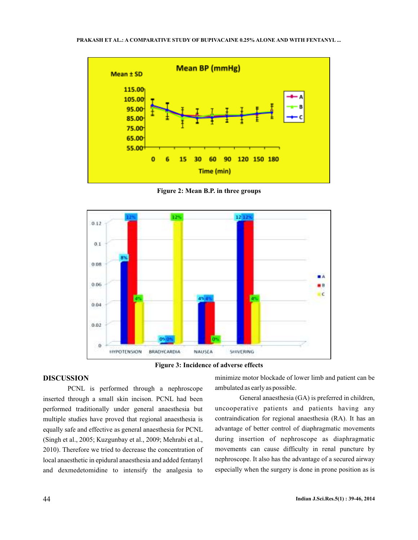

**Figure 2: Mean B.P. in three groups**



**Figure 3: Incidence of adverse effects**

## **DISCUSSION**

PCNL is performed through a nephroscope inserted through a small skin incison. PCNL had been performed traditionally under general anaesthesia but multiple studies have proved that regional anaesthesia is equally safe and effective as general anaesthesia for PCNL (Singh et al., 2005; Kuzgunbay et al., 2009; Mehrabi et al., 2010). Therefore we tried to decrease the concentration of local anaesthetic in epidural anaesthesia and added fentanyl and dexmedetomidine to intensify the analgesia to

minimize motor blockade of lower limb and patient can be ambulated as early as possible.

General anaesthesia (GA) is preferred in children, uncooperative patients and patients having any contraindication for regional anaesthesia (RA). It has an advantage of better control of diaphragmatic movements during insertion of nephroscope as diaphragmatic movements can cause difficulty in renal puncture by nephroscope. It also has the advantage of a secured airway especially when the surgery is done in prone position as is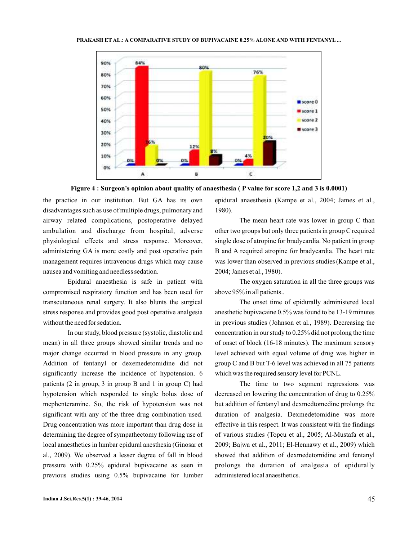

**Figure 4 : Surgeon's opinion about quality of anaesthesia ( P value for score 1,2 and 3 is 0.0001)**

the practice in our institution. But GA has its own disadvantages such as use of multiple drugs, pulmonary and airway related complications, postoperative delayed ambulation and discharge from hospital, adverse physiological effects and stress response. Moreover, administering GA is more costly and post operative pain management requires intravenous drugs which may cause nausea and vomiting and needless sedation.

Epidural anaesthesia is safe in patient with compromised respiratory function and has been used for transcutaneous renal surgery. It also blunts the surgical stress response and provides good post operative analgesia without the need for sedation.

In our study, blood pressure (systolic, diastolic and mean) in all three groups showed similar trends and no major change occurred in blood pressure in any group. Addition of fentanyl or dexemedetomidine did not significantly increase the incidence of hypotension. 6 patients (2 in group, 3 in group B and 1 in group C) had hypotension which responded to single bolus dose of mephenteramine. So, the risk of hypotension was not significant with any of the three drug combination used. Drug concentration was more important than drug dose in determining the degree of sympathectomy following use of local anaesthetics in lumbar epidural anesthesia (Ginosar et al., 2009). We observed a lesser degree of fall in blood pressure with 0.25% epidural bupivacaine as seen in previous studies using 0.5% bupivacaine for lumber

epidural anaesthesia (Kampe et al., 2004; James et al., 1980).

The mean heart rate was lower in group C than other two groups but only three patients in group C required single dose of atropine for bradycardia. No patient in group B and A required atropine for bradycardia. The heart rate was lower than observed in previous studies (Kampe et al., 2004; James et al., 1980).

The oxygen saturation in all the three groups was above 95% in all patients..

The onset time of epidurally administered local anesthetic bupivacaine 0.5% was found to be 13-19 minutes in previous studies (Johnson et al., 1989). Decreasing the concentration in our study to 0.25% did not prolong the time of onset of block (16-18 minutes). The maximum sensory level achieved with equal volume of drug was higher in group C and B but T-6 level was achieved in all 75 patients which was the required sensory level for PCNL.

The time to two segment regressions was decreased on lowering the concentration of drug to 0.25% but addition of fentanyl and dexmedtomedine prolongs the duration of analgesia. Dexmedetomidine was more effective in this respect. It was consistent with the findings of various studies (Topcu et al., 2005; Al-Mustafa et al., 2009; Bajwa et al., 2011; El-Hennawy et al., 2009) which showed that addition of dexmedetomidine and fentanyl prolongs the duration of analgesia of epidurally administered local anaesthetics.